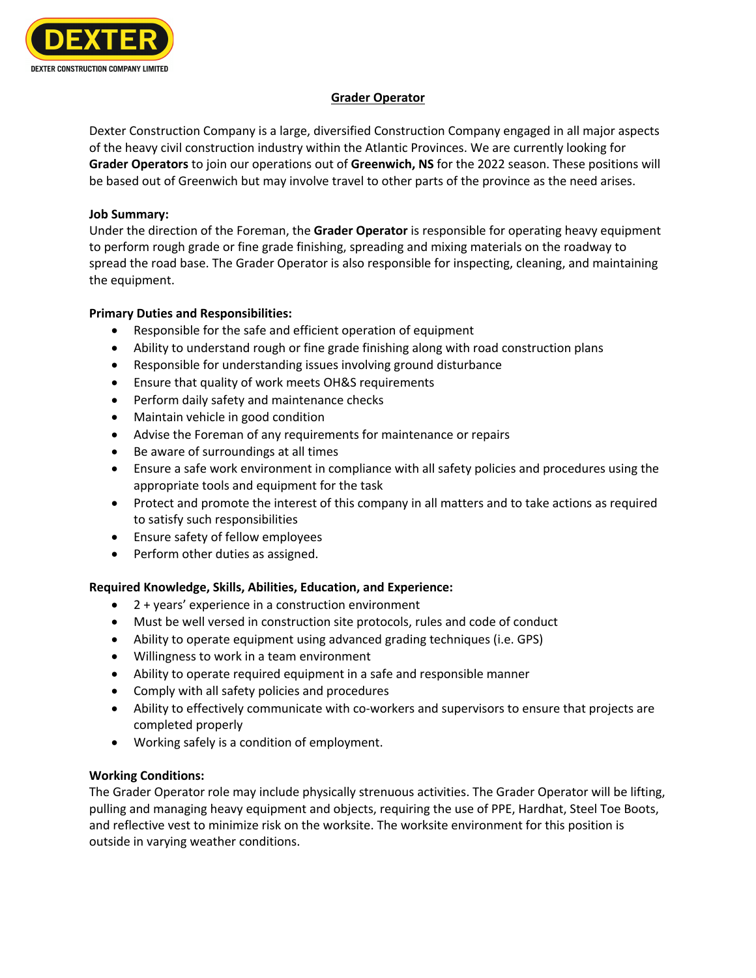

## **Grader Operator**

Dexter Construction Company is a large, diversified Construction Company engaged in all major aspects of the heavy civil construction industry within the Atlantic Provinces. We are currently looking for **Grader Operators** to join our operations out of **Greenwich, NS** for the 2022 season. These positions will be based out of Greenwich but may involve travel to other parts of the province as the need arises.

## **Job Summary:**

Under the direction of the Foreman, the **Grader Operator** is responsible for operating heavy equipment to perform rough grade or fine grade finishing, spreading and mixing materials on the roadway to spread the road base. The Grader Operator is also responsible for inspecting, cleaning, and maintaining the equipment.

## **Primary Duties and Responsibilities:**

- Responsible for the safe and efficient operation of equipment
- Ability to understand rough or fine grade finishing along with road construction plans
- Responsible for understanding issues involving ground disturbance
- Ensure that quality of work meets OH&S requirements
- Perform daily safety and maintenance checks
- Maintain vehicle in good condition
- Advise the Foreman of any requirements for maintenance or repairs
- Be aware of surroundings at all times
- Ensure a safe work environment in compliance with all safety policies and procedures using the appropriate tools and equipment for the task
- Protect and promote the interest of this company in all matters and to take actions as required to satisfy such responsibilities
- Ensure safety of fellow employees
- Perform other duties as assigned.

# **Required Knowledge, Skills, Abilities, Education, and Experience:**

- 2 + years' experience in a construction environment
- Must be well versed in construction site protocols, rules and code of conduct
- Ability to operate equipment using advanced grading techniques (i.e. GPS)
- Willingness to work in a team environment
- Ability to operate required equipment in a safe and responsible manner
- Comply with all safety policies and procedures
- Ability to effectively communicate with co-workers and supervisors to ensure that projects are completed properly
- Working safely is a condition of employment.

# **Working Conditions:**

The Grader Operator role may include physically strenuous activities. The Grader Operator will be lifting, pulling and managing heavy equipment and objects, requiring the use of PPE, Hardhat, Steel Toe Boots, and reflective vest to minimize risk on the worksite. The worksite environment for this position is outside in varying weather conditions.